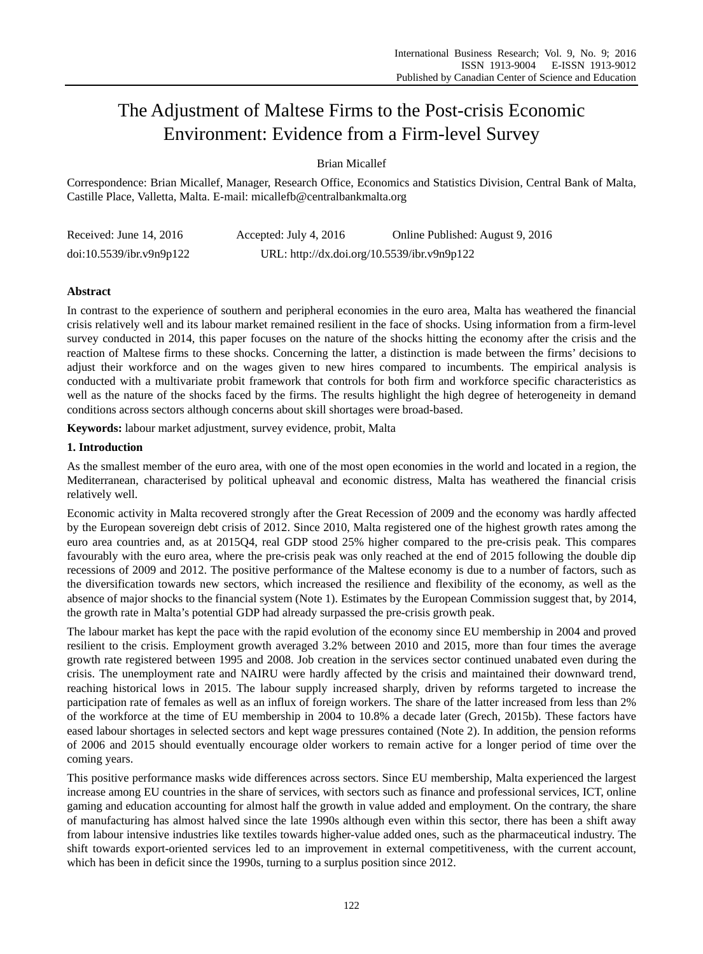# The Adjustment of Maltese Firms to the Post-crisis Economic Environment: Evidence from a Firm-level Survey

Brian Micallef

Correspondence: Brian Micallef, Manager, Research Office, Economics and Statistics Division, Central Bank of Malta, Castille Place, Valletta, Malta. E-mail: micallefb@centralbankmalta.org

| Received: June $14, 2016$ | Accepted: July 4, $2016$                    | Online Published: August 9, 2016 |  |
|---------------------------|---------------------------------------------|----------------------------------|--|
| doi:10.5539/ibr.v9n9p122  | URL: http://dx.doi.org/10.5539/ibr.v9n9p122 |                                  |  |

# **Abstract**

In contrast to the experience of southern and peripheral economies in the euro area, Malta has weathered the financial crisis relatively well and its labour market remained resilient in the face of shocks. Using information from a firm-level survey conducted in 2014, this paper focuses on the nature of the shocks hitting the economy after the crisis and the reaction of Maltese firms to these shocks. Concerning the latter, a distinction is made between the firms' decisions to adjust their workforce and on the wages given to new hires compared to incumbents. The empirical analysis is conducted with a multivariate probit framework that controls for both firm and workforce specific characteristics as well as the nature of the shocks faced by the firms. The results highlight the high degree of heterogeneity in demand conditions across sectors although concerns about skill shortages were broad-based.

**Keywords:** labour market adjustment, survey evidence, probit, Malta

# **1. Introduction**

As the smallest member of the euro area, with one of the most open economies in the world and located in a region, the Mediterranean, characterised by political upheaval and economic distress, Malta has weathered the financial crisis relatively well.

Economic activity in Malta recovered strongly after the Great Recession of 2009 and the economy was hardly affected by the European sovereign debt crisis of 2012. Since 2010, Malta registered one of the highest growth rates among the euro area countries and, as at 2015Q4, real GDP stood 25% higher compared to the pre-crisis peak. This compares favourably with the euro area, where the pre-crisis peak was only reached at the end of 2015 following the double dip recessions of 2009 and 2012. The positive performance of the Maltese economy is due to a number of factors, such as the diversification towards new sectors, which increased the resilience and flexibility of the economy, as well as the absence of major shocks to the financial system (Note 1). Estimates by the European Commission suggest that, by 2014, the growth rate in Malta's potential GDP had already surpassed the pre-crisis growth peak.

The labour market has kept the pace with the rapid evolution of the economy since EU membership in 2004 and proved resilient to the crisis. Employment growth averaged 3.2% between 2010 and 2015, more than four times the average growth rate registered between 1995 and 2008. Job creation in the services sector continued unabated even during the crisis. The unemployment rate and NAIRU were hardly affected by the crisis and maintained their downward trend, reaching historical lows in 2015. The labour supply increased sharply, driven by reforms targeted to increase the participation rate of females as well as an influx of foreign workers. The share of the latter increased from less than 2% of the workforce at the time of EU membership in 2004 to 10.8% a decade later (Grech, 2015b). These factors have eased labour shortages in selected sectors and kept wage pressures contained (Note 2). In addition, the pension reforms of 2006 and 2015 should eventually encourage older workers to remain active for a longer period of time over the coming years.

This positive performance masks wide differences across sectors. Since EU membership, Malta experienced the largest increase among EU countries in the share of services, with sectors such as finance and professional services, ICT, online gaming and education accounting for almost half the growth in value added and employment. On the contrary, the share of manufacturing has almost halved since the late 1990s although even within this sector, there has been a shift away from labour intensive industries like textiles towards higher-value added ones, such as the pharmaceutical industry. The shift towards export-oriented services led to an improvement in external competitiveness, with the current account, which has been in deficit since the 1990s, turning to a surplus position since 2012.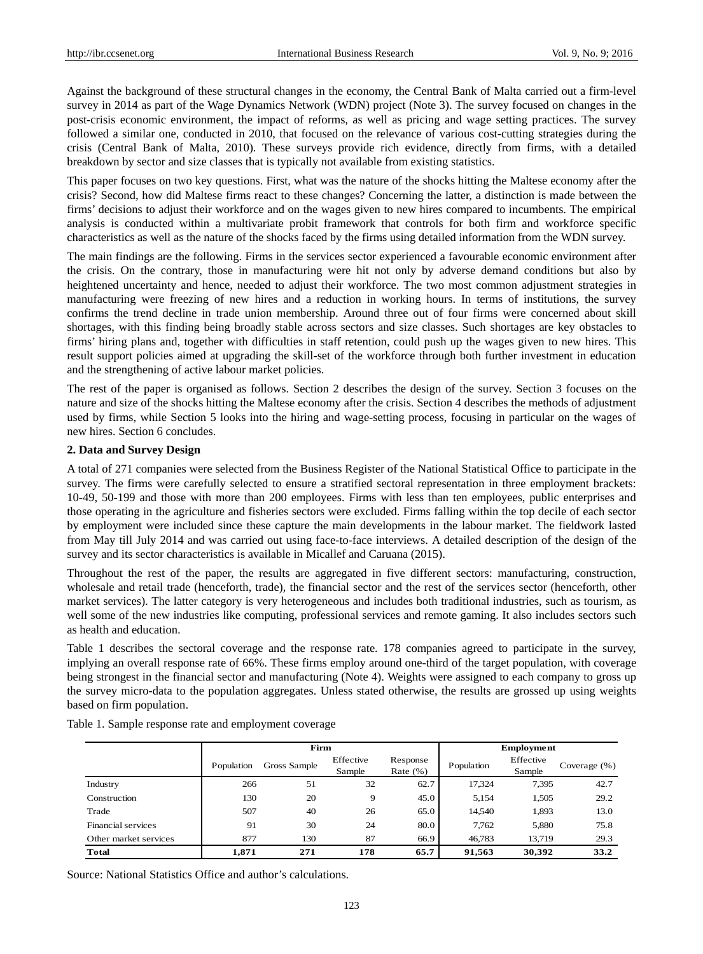Against the background of these structural changes in the economy, the Central Bank of Malta carried out a firm-level survey in 2014 as part of the Wage Dynamics Network (WDN) project (Note 3). The survey focused on changes in the post-crisis economic environment, the impact of reforms, as well as pricing and wage setting practices. The survey followed a similar one, conducted in 2010, that focused on the relevance of various cost-cutting strategies during the crisis (Central Bank of Malta, 2010). These surveys provide rich evidence, directly from firms, with a detailed breakdown by sector and size classes that is typically not available from existing statistics.

This paper focuses on two key questions. First, what was the nature of the shocks hitting the Maltese economy after the crisis? Second, how did Maltese firms react to these changes? Concerning the latter, a distinction is made between the firms' decisions to adjust their workforce and on the wages given to new hires compared to incumbents. The empirical analysis is conducted within a multivariate probit framework that controls for both firm and workforce specific characteristics as well as the nature of the shocks faced by the firms using detailed information from the WDN survey.

The main findings are the following. Firms in the services sector experienced a favourable economic environment after the crisis. On the contrary, those in manufacturing were hit not only by adverse demand conditions but also by heightened uncertainty and hence, needed to adjust their workforce. The two most common adjustment strategies in manufacturing were freezing of new hires and a reduction in working hours. In terms of institutions, the survey confirms the trend decline in trade union membership. Around three out of four firms were concerned about skill shortages, with this finding being broadly stable across sectors and size classes. Such shortages are key obstacles to firms' hiring plans and, together with difficulties in staff retention, could push up the wages given to new hires. This result support policies aimed at upgrading the skill-set of the workforce through both further investment in education and the strengthening of active labour market policies.

The rest of the paper is organised as follows. Section 2 describes the design of the survey. Section 3 focuses on the nature and size of the shocks hitting the Maltese economy after the crisis. Section 4 describes the methods of adjustment used by firms, while Section 5 looks into the hiring and wage-setting process, focusing in particular on the wages of new hires. Section 6 concludes.

# **2. Data and Survey Design**

A total of 271 companies were selected from the Business Register of the National Statistical Office to participate in the survey. The firms were carefully selected to ensure a stratified sectoral representation in three employment brackets: 10-49, 50-199 and those with more than 200 employees. Firms with less than ten employees, public enterprises and those operating in the agriculture and fisheries sectors were excluded. Firms falling within the top decile of each sector by employment were included since these capture the main developments in the labour market. The fieldwork lasted from May till July 2014 and was carried out using face-to-face interviews. A detailed description of the design of the survey and its sector characteristics is available in Micallef and Caruana (2015).

Throughout the rest of the paper, the results are aggregated in five different sectors: manufacturing, construction, wholesale and retail trade (henceforth, trade), the financial sector and the rest of the services sector (henceforth, other market services). The latter category is very heterogeneous and includes both traditional industries, such as tourism, as well some of the new industries like computing, professional services and remote gaming. It also includes sectors such as health and education.

Table 1 describes the sectoral coverage and the response rate. 178 companies agreed to participate in the survey, implying an overall response rate of 66%. These firms employ around one-third of the target population, with coverage being strongest in the financial sector and manufacturing (Note 4). Weights were assigned to each company to gross up the survey micro-data to the population aggregates. Unless stated otherwise, the results are grossed up using weights based on firm population.

|                       | Firm       |              |                     | <b>Employment</b>        |            |                     |                  |
|-----------------------|------------|--------------|---------------------|--------------------------|------------|---------------------|------------------|
|                       | Population | Gross Sample | Effective<br>Sample | Response<br>Rate $(\% )$ | Population | Effective<br>Sample | Coverage $(\% )$ |
| Industry              | 266        | 51           | 32                  | 62.7                     | 17,324     | 7,395               | 42.7             |
| Construction          | 130        | 20           | 9                   | 45.0                     | 5,154      | 1,505               | 29.2             |
| Trade                 | 507        | 40           | 26                  | 65.0                     | 14,540     | 1,893               | 13.0             |
| Financial services    | 91         | 30           | 24                  | 80.0                     | 7.762      | 5,880               | 75.8             |
| Other market services | 877        | 130          | 87                  | 66.9                     | 46,783     | 13.719              | 29.3             |
| <b>Total</b>          | 1.871      | 271          | 178                 | 65.7                     | 91,563     | 30.392              | 33.2             |

Table 1. Sample response rate and employment coverage

Source: National Statistics Office and author's calculations.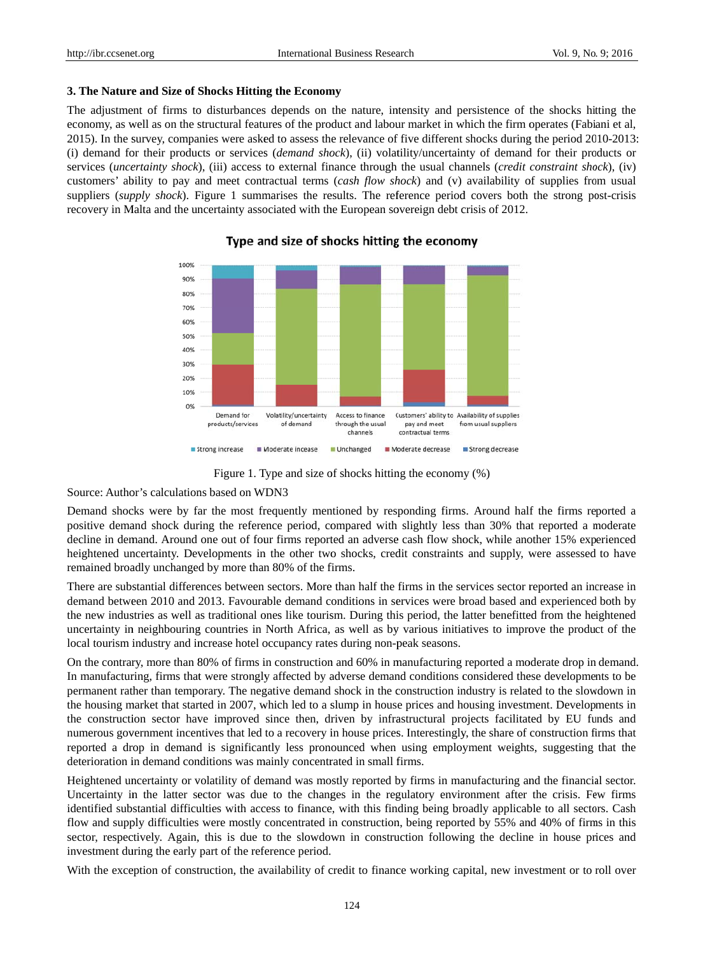#### 3. The Nature and Size of Shocks Hitting the Economy

The adjustment of firms to disturbances depends on the nature, intensity and persistence of the shocks hitting the economy, as well as on the structural features of the product and labour market in which the firm operates (Fabiani et al, 2015). In the survey, companies were asked to assess the relevance of five different shocks during the period 2010-2013: (i) demand for their products or services (*demand shock*), (ii) volatility/uncertainty of demand for their products or services (*uncertainty shock*), (iii) access to external finance through the usual channels (*credit constraint shock*), (iv) customers' ability to pay and meet contractual terms (cash flow shock) and (v) availability of supplies from usual suppliers (supply shock). Figure 1 summarises the results. The reference period covers both the strong post-crisis recovery in Malta and the uncertainty associated with the European sovereign debt crisis of 2012.



# Type and size of shocks hitting the economy

Figure 1. Type and size of shocks hitting the economy  $(\%)$ 

# Source: Author's calculations based on WDN3

Demand shocks were by far the most frequently mentioned by responding firms. Around half the firms reported a positive demand shock during the reference period, compared with slightly less than 30% that reported a moderate decline in demand. Around one out of four firms reported an adverse cash flow shock, while another 15% experienced heightened uncertainty. Developments in the other two shocks, credit constraints and supply, were assessed to have remained broadly unchanged by more than 80% of the firms.

There are substantial differences between sectors. More than half the firms in the services sector reported an increase in demand between 2010 and 2013. Favourable demand conditions in services were broad based and experienced both by the new industries as well as traditional ones like tourism. During this period, the latter benefitted from the heightened uncertainty in neighbouring countries in North Africa, as well as by various initiatives to improve the product of the local tourism industry and increase hotel occupancy rates during non-peak seasons.

On the contrary, more than 80% of firms in construction and 60% in manufacturing reported a moderate drop in demand. In manufacturing, firms that were strongly affected by adverse demand conditions considered these developments to be permanent rather than temporary. The negative demand shock in the construction industry is related to the slowdown in the housing market that started in 2007, which led to a slump in house prices and housing investment. Developments in the construction sector have improved since then, driven by infrastructural projects facilitated by EU funds and numerous government incentives that led to a recovery in house prices. Interestingly, the share of construction firms that reported a drop in demand is significantly less pronounced when using employment weights, suggesting that the deterioration in demand conditions was mainly concentrated in small firms.

Heightened uncertainty or volatility of demand was mostly reported by firms in manufacturing and the financial sector. Uncertainty in the latter sector was due to the changes in the regulatory environment after the crisis. Few firms identified substantial difficulties with access to finance, with this finding being broadly applicable to all sectors. Cash flow and supply difficulties were mostly concentrated in construction, being reported by 55% and 40% of firms in this sector, respectively. Again, this is due to the slowdown in construction following the decline in house prices and investment during the early part of the reference period.

With the exception of construction, the availability of credit to finance working capital, new investment or to roll over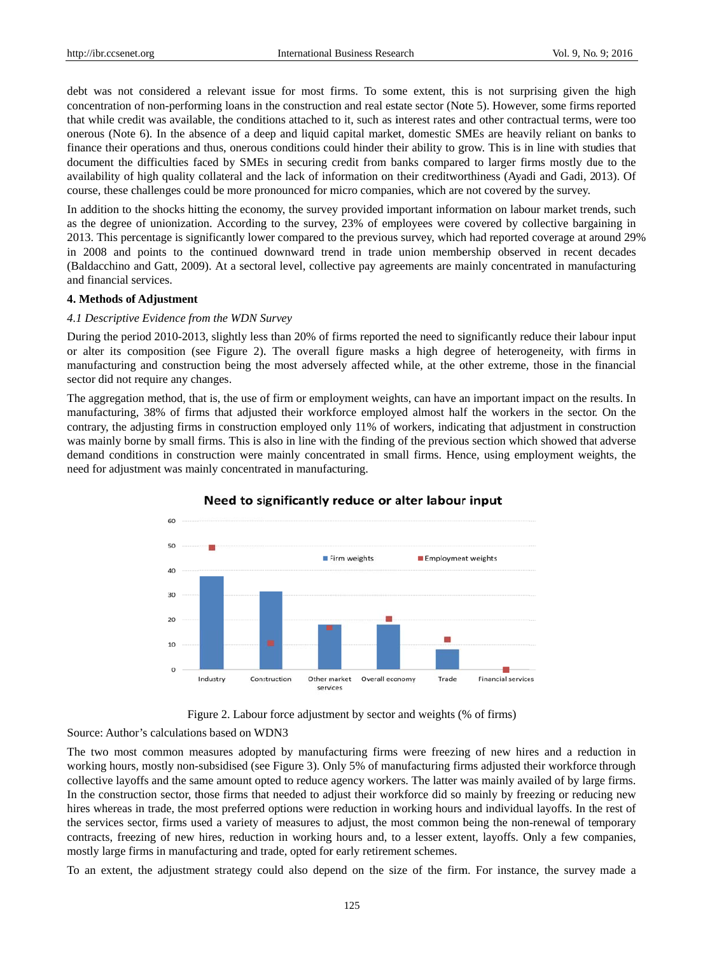debt was not considered a relevant issue for most firms. To some extent, this is not surprising given the high concentration of non-performing loans in the construction and real estate sector (Note 5). However, some firms reported that while credit was available, the conditions attached to it, such as interest rates and other contractual terms, were too onerous (Note 6). In the absence of a deep and liquid capital market, domestic SMEs are heavily reliant on banks to finance their operations and thus, onerous conditions could hinder their ability to grow. This is in line with studies that document the difficulties faced by SMEs in securing credit from banks compared to larger firms mostly due to the availability of high quality collateral and the lack of information on their creditworthiness (Ayadi and Gadi, 2013). Of course, these challenges could be more pronounced for micro companies, which are not covered by the survey.

In addition to the shocks hitting the economy, the survey provided important information on labour market trends, such as the degree of unionization. According to the survey, 23% of employees were covered by collective bargaining in 2013. This percentage is significantly lower compared to the previous survey, which had reported coverage at around 29% in 2008 and points to the continued downward trend in trade union membership observed in recent decades (Baldacchino and Gatt, 2009). At a sectoral level, collective pay agreements are mainly concentrated in manufacturing and financial services.

#### 4. Methods of Adjustment

## 4.1 Descriptive Evidence from the WDN Survey

During the period 2010-2013, slightly less than 20% of firms reported the need to significantly reduce their labour input or alter its composition (see Figure 2). The overall figure masks a high degree of heterogeneity, with firms in manufacturing and construction being the most adversely affected while, at the other extreme, those in the financial sector did not require any changes.

The aggregation method, that is, the use of firm or employment weights, can have an important impact on the results. In manufacturing, 38% of firms that adjusted their workforce employed almost half the workers in the sector. On the contrary, the adjusting firms in construction employed only 11% of workers, indicating that adjustment in construction was mainly borne by small firms. This is also in line with the finding of the previous section which showed that adverse demand conditions in construction were mainly concentrated in small firms. Hence, using employment weights, the need for adjustment was mainly concentrated in manufacturing.



# Need to significantly reduce or alter labour input

Figure 2. Labour force adjustment by sector and weights (% of firms)

#### Source: Author's calculations based on WDN3

The two most common measures adopted by manufacturing firms were freezing of new hires and a reduction in working hours, mostly non-subsidised (see Figure 3). Only 5% of manufacturing firms adjusted their workforce through collective layoffs and the same amount opted to reduce agency workers. The latter was mainly availed of by large firms. In the construction sector, those firms that needed to adjust their workforce did so mainly by freezing or reducing new hires whereas in trade, the most preferred options were reduction in working hours and individual layoffs. In the rest of the services sector, firms used a variety of measures to adjust, the most common being the non-renewal of temporary contracts, freezing of new hires, reduction in working hours and, to a lesser extent, layoffs. Only a few companies, mostly large firms in manufacturing and trade, opted for early retirement schemes.

To an extent, the adjustment strategy could also depend on the size of the firm. For instance, the survey made a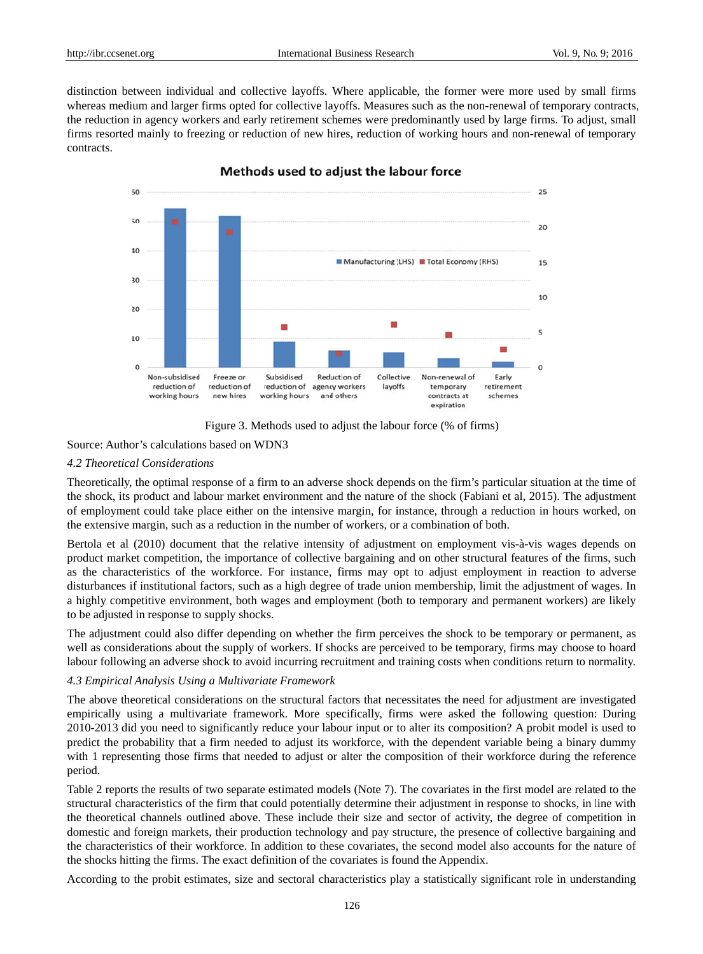distinction between individual and collective layoffs. Where applicable, the former were more used by small firms whereas medium and larger firms opted for collective layoffs. Measures such as the non-renewal of temporary contracts, the reduction in agency workers and early retirement schemes were predominantly used by large firms. To adjust, small firms resorted mainly to freezing or reduction of new hires, reduction of working hours and non-renewal of temporary contracts.



#### Methods used to adjust the labour force

Figure 3. Methods used to adjust the labour force (% of firms)

Source: Author's calculations based on WDN3

## 4.2 Theoretical Considerations

Theoretically, the optimal response of a firm to an adverse shock depends on the firm's particular situation at the time of the shock, its product and labour market environment and the nature of the shock (Fabiani et al, 2015). The adjustment of employment could take place either on the intensive margin, for instance, through a reduction in hours worked, on the extensive margin, such as a reduction in the number of workers, or a combination of both.

Bertola et al (2010) document that the relative intensity of adjustment on employment vis-à-vis wages depends on product market competition, the importance of collective bargaining and on other structural features of the firms, such as the characteristics of the workforce. For instance, firms may opt to adjust employment in reaction to adverse disturbances if institutional factors, such as a high degree of trade union membership, limit the adjustment of wages. In a highly competitive environment, both wages and employment (both to temporary and permanent workers) are likely to be adjusted in response to supply shocks.

The adjustment could also differ depending on whether the firm perceives the shock to be temporary or permanent, as well as considerations about the supply of workers. If shocks are perceived to be temporary, firms may choose to hoard labour following an adverse shock to avoid incurring recruitment and training costs when conditions return to normality.

#### 4.3 Empirical Analysis Using a Multivariate Framework

The above theoretical considerations on the structural factors that necessitates the need for adjustment are investigated empirically using a multivariate framework. More specifically, firms were asked the following question: During 2010-2013 did you need to significantly reduce your labour input or to alter its composition? A probit model is used to predict the probability that a firm needed to adjust its workforce, with the dependent variable being a binary dummy with 1 representing those firms that needed to adjust or alter the composition of their workforce during the reference period.

Table 2 reports the results of two separate estimated models (Note 7). The covariates in the first model are related to the structural characteristics of the firm that could potentially determine their adjustment in response to shocks, in line with the theoretical channels outlined above. These include their size and sector of activity, the degree of competition in domestic and foreign markets, their production technology and pay structure, the presence of collective bargaining and the characteristics of their workforce. In addition to these covariates, the second model also accounts for the nature of the shocks hitting the firms. The exact definition of the covariates is found the Appendix.

According to the probit estimates, size and sectoral characteristics play a statistically significant role in understanding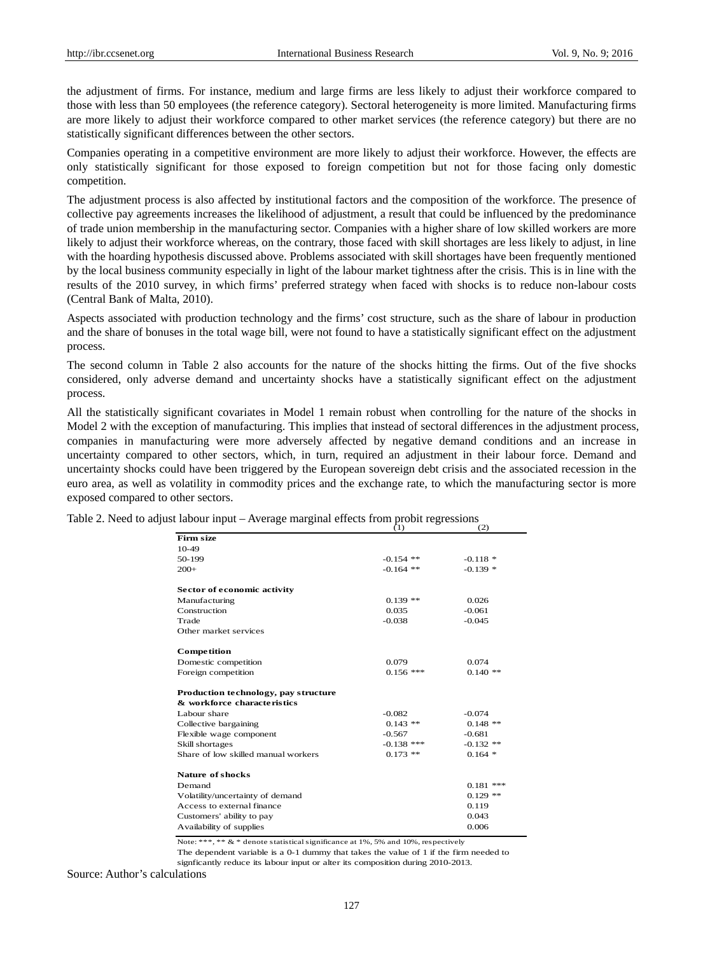the adjustment of firms. For instance, medium and large firms are less likely to adjust their workforce compared to those with less than 50 employees (the reference category). Sectoral heterogeneity is more limited. Manufacturing firms are more likely to adjust their workforce compared to other market services (the reference category) but there are no statistically significant differences between the other sectors.

Companies operating in a competitive environment are more likely to adjust their workforce. However, the effects are only statistically significant for those exposed to foreign competition but not for those facing only domestic competition.

The adjustment process is also affected by institutional factors and the composition of the workforce. The presence of collective pay agreements increases the likelihood of adjustment, a result that could be influenced by the predominance of trade union membership in the manufacturing sector. Companies with a higher share of low skilled workers are more likely to adjust their workforce whereas, on the contrary, those faced with skill shortages are less likely to adjust, in line with the hoarding hypothesis discussed above. Problems associated with skill shortages have been frequently mentioned by the local business community especially in light of the labour market tightness after the crisis. This is in line with the results of the 2010 survey, in which firms' preferred strategy when faced with shocks is to reduce non-labour costs (Central Bank of Malta, 2010).

Aspects associated with production technology and the firms' cost structure, such as the share of labour in production and the share of bonuses in the total wage bill, were not found to have a statistically significant effect on the adjustment process.

The second column in Table 2 also accounts for the nature of the shocks hitting the firms. Out of the five shocks considered, only adverse demand and uncertainty shocks have a statistically significant effect on the adjustment process.

All the statistically significant covariates in Model 1 remain robust when controlling for the nature of the shocks in Model 2 with the exception of manufacturing. This implies that instead of sectoral differences in the adjustment process, companies in manufacturing were more adversely affected by negative demand conditions and an increase in uncertainty compared to other sectors, which, in turn, required an adjustment in their labour force. Demand and uncertainty shocks could have been triggered by the European sovereign debt crisis and the associated recession in the euro area, as well as volatility in commodity prices and the exchange rate, to which the manufacturing sector is more exposed compared to other sectors.

|                                      | (1)          | (2)         |
|--------------------------------------|--------------|-------------|
| Firm size                            |              |             |
| $10-49$                              |              |             |
| 50-199                               | $-0.154$ **  | $-0.118*$   |
| $200+$                               | $-0.164$ **  | $-0.139*$   |
| <b>Sector of economic activity</b>   |              |             |
| Manufacturing                        | $0.139**$    | 0.026       |
| Construction                         | 0.035        | $-0.061$    |
| Trade                                | $-0.038$     | $-0.045$    |
| Other market services                |              |             |
| <b>Competition</b>                   |              |             |
| Domestic competition                 | 0.079        | 0.074       |
| Foreign competition                  | $0.156$ ***  | $0.140**$   |
| Production technology, pay structure |              |             |
| & workforce characteristics          |              |             |
| Labour share                         | $-0.082$     | $-0.074$    |
| Collective bargaining                | $0.143$ **   | $0.148$ **  |
| Flexible wage component              | $-0.567$     | $-0.681$    |
| Skill shortages                      | $-0.138$ *** | $-0.132$ ** |
| Share of low skilled manual workers  | $0.173$ **   | $0.164*$    |
| Nature of shocks                     |              |             |
| Demand                               |              | $0.181$ *** |
| Volatility/uncertainty of demand     |              | $0.129$ **  |
| Access to external finance           |              | 0.119       |
| Customers' ability to pay            |              | 0.043       |
| Availability of supplies             |              | 0.006       |
|                                      |              |             |

Table 2. Need to adjust labour input – Average marginal effects from probit regressions  $\frac{1}{2}$ 

Note: \*\*\*, \*\* & \* denote statistical significance at 1%, 5% and 10%, respectively

The dependent variable is a 0-1 dummy that takes the value of 1 if the firm needed to signficantly reduce its labour input or alter its composition during 2010-2013.

Source: Author's calculations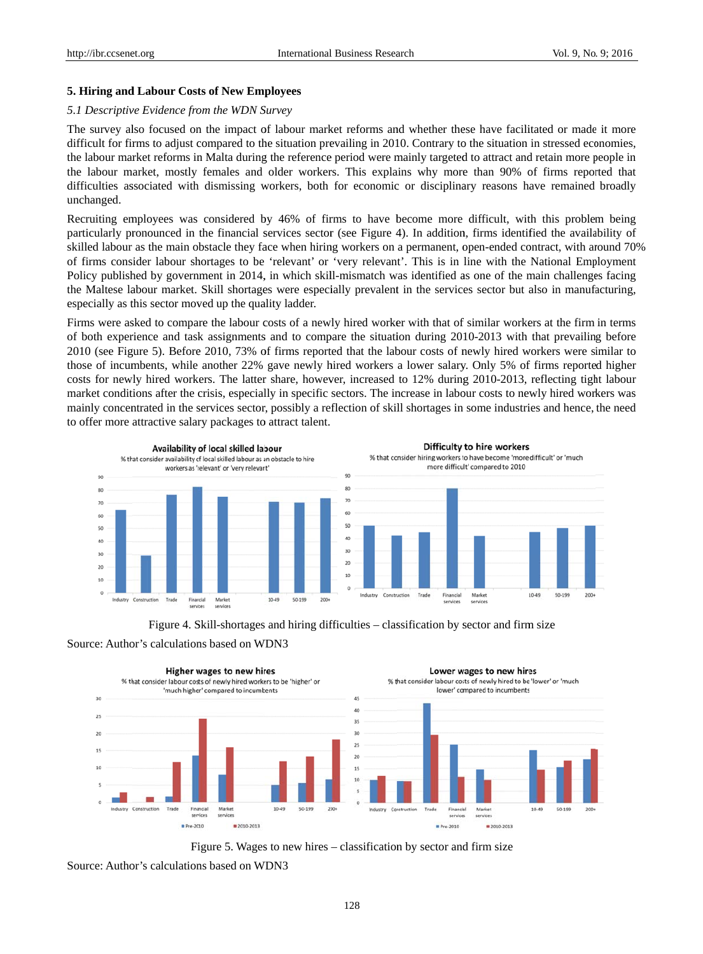# 5. Hiring and Labour Costs of New Employees

#### 5.1 Descriptive Evidence from the WDN Survey

The survey also focused on the impact of labour market reforms and whether these have facilitated or made it more difficult for firms to adjust compared to the situation prevailing in 2010. Contrary to the situation in stressed economies. the labour market reforms in Malta during the reference period were mainly targeted to attract and retain more people in the labour market, mostly females and older workers. This explains why more than 90% of firms reported that difficulties associated with dismissing workers, both for economic or disciplinary reasons have remained broadly unchanged.

Recruiting employees was considered by 46% of firms to have become more difficult, with this problem being particularly pronounced in the financial services sector (see Figure 4). In addition, firms identified the availability of skilled labour as the main obstacle they face when hiring workers on a permanent, open-ended contract, with around 70% of firms consider labour shortages to be 'relevant' or 'very relevant'. This is in line with the National Employment Policy published by government in 2014, in which skill-mismatch was identified as one of the main challenges facing the Maltese labour market. Skill shortages were especially prevalent in the services sector but also in manufacturing, especially as this sector moved up the quality ladder.

Firms were asked to compare the labour costs of a newly hired worker with that of similar workers at the firm in terms of both experience and task assignments and to compare the situation during 2010-2013 with that prevailing before 2010 (see Figure 5). Before 2010, 73% of firms reported that the labour costs of newly hired workers were similar to those of incumbents, while another 22% gave newly hired workers a lower salary. Only 5% of firms reported higher costs for newly hired workers. The latter share, however, increased to 12% during 2010-2013, reflecting tight labour market conditions after the crisis, especially in specific sectors. The increase in labour costs to newly hired workers was mainly concentrated in the services sector, possibly a reflection of skill shortages in some industries and hence, the need to offer more attractive salary packages to attract talent.





Source: Author's calculations based on WDN3





Source: Author's calculations based on WDN3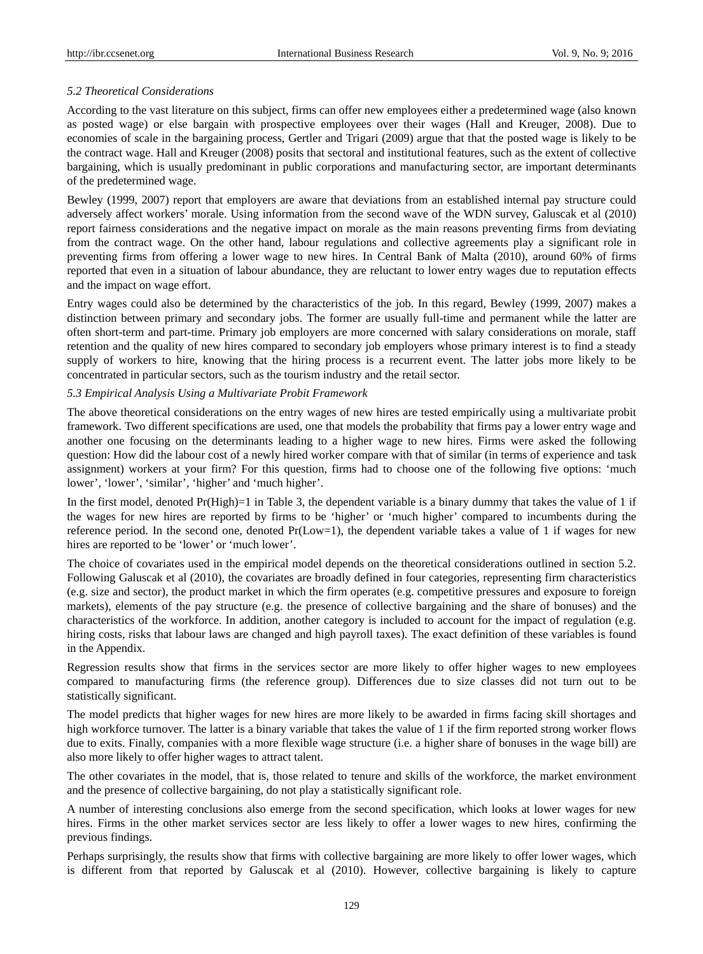## *5.2 Theoretical Considerations*

According to the vast literature on this subject, firms can offer new employees either a predetermined wage (also known as posted wage) or else bargain with prospective employees over their wages (Hall and Kreuger, 2008). Due to economies of scale in the bargaining process, Gertler and Trigari (2009) argue that that the posted wage is likely to be the contract wage. Hall and Kreuger (2008) posits that sectoral and institutional features, such as the extent of collective bargaining, which is usually predominant in public corporations and manufacturing sector, are important determinants of the predetermined wage.

Bewley (1999, 2007) report that employers are aware that deviations from an established internal pay structure could adversely affect workers' morale. Using information from the second wave of the WDN survey, Galuscak et al (2010) report fairness considerations and the negative impact on morale as the main reasons preventing firms from deviating from the contract wage. On the other hand, labour regulations and collective agreements play a significant role in preventing firms from offering a lower wage to new hires. In Central Bank of Malta (2010), around 60% of firms reported that even in a situation of labour abundance, they are reluctant to lower entry wages due to reputation effects and the impact on wage effort.

Entry wages could also be determined by the characteristics of the job. In this regard, Bewley (1999, 2007) makes a distinction between primary and secondary jobs. The former are usually full-time and permanent while the latter are often short-term and part-time. Primary job employers are more concerned with salary considerations on morale, staff retention and the quality of new hires compared to secondary job employers whose primary interest is to find a steady supply of workers to hire, knowing that the hiring process is a recurrent event. The latter jobs more likely to be concentrated in particular sectors, such as the tourism industry and the retail sector.

## *5.3 Empirical Analysis Using a Multivariate Probit Framework*

The above theoretical considerations on the entry wages of new hires are tested empirically using a multivariate probit framework. Two different specifications are used, one that models the probability that firms pay a lower entry wage and another one focusing on the determinants leading to a higher wage to new hires. Firms were asked the following question: How did the labour cost of a newly hired worker compare with that of similar (in terms of experience and task assignment) workers at your firm? For this question, firms had to choose one of the following five options: 'much lower', 'lower', 'similar', 'higher' and 'much higher'.

In the first model, denoted Pr(High)=1 in Table 3, the dependent variable is a binary dummy that takes the value of 1 if the wages for new hires are reported by firms to be 'higher' or 'much higher' compared to incumbents during the reference period. In the second one, denoted Pr(Low=1), the dependent variable takes a value of 1 if wages for new hires are reported to be 'lower' or 'much lower'.

The choice of covariates used in the empirical model depends on the theoretical considerations outlined in section 5.2. Following Galuscak et al (2010), the covariates are broadly defined in four categories, representing firm characteristics (e.g. size and sector), the product market in which the firm operates (e.g. competitive pressures and exposure to foreign markets), elements of the pay structure (e.g. the presence of collective bargaining and the share of bonuses) and the characteristics of the workforce. In addition, another category is included to account for the impact of regulation (e.g. hiring costs, risks that labour laws are changed and high payroll taxes). The exact definition of these variables is found in the Appendix.

Regression results show that firms in the services sector are more likely to offer higher wages to new employees compared to manufacturing firms (the reference group). Differences due to size classes did not turn out to be statistically significant.

The model predicts that higher wages for new hires are more likely to be awarded in firms facing skill shortages and high workforce turnover. The latter is a binary variable that takes the value of 1 if the firm reported strong worker flows due to exits. Finally, companies with a more flexible wage structure (i.e. a higher share of bonuses in the wage bill) are also more likely to offer higher wages to attract talent.

The other covariates in the model, that is, those related to tenure and skills of the workforce, the market environment and the presence of collective bargaining, do not play a statistically significant role.

A number of interesting conclusions also emerge from the second specification, which looks at lower wages for new hires. Firms in the other market services sector are less likely to offer a lower wages to new hires, confirming the previous findings.

Perhaps surprisingly, the results show that firms with collective bargaining are more likely to offer lower wages, which is different from that reported by Galuscak et al (2010). However, collective bargaining is likely to capture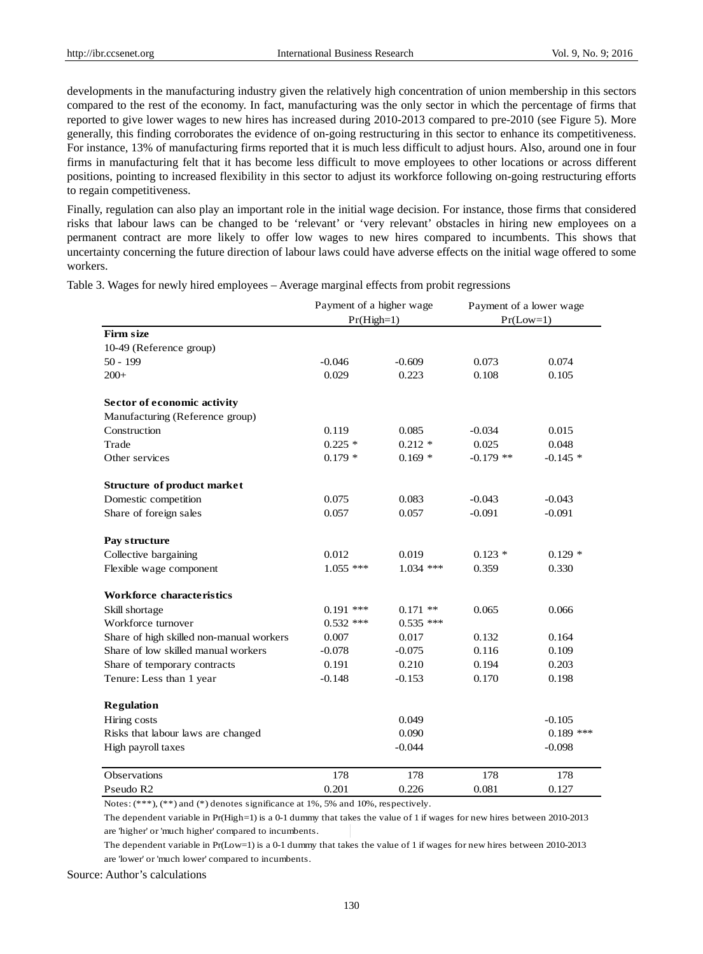developments in the manufacturing industry given the relatively high concentration of union membership in this sectors compared to the rest of the economy. In fact, manufacturing was the only sector in which the percentage of firms that reported to give lower wages to new hires has increased during 2010-2013 compared to pre-2010 (see Figure 5). More generally, this finding corroborates the evidence of on-going restructuring in this sector to enhance its competitiveness. For instance, 13% of manufacturing firms reported that it is much less difficult to adjust hours. Also, around one in four firms in manufacturing felt that it has become less difficult to move employees to other locations or across different positions, pointing to increased flexibility in this sector to adjust its workforce following on-going restructuring efforts to regain competitiveness.

Finally, regulation can also play an important role in the initial wage decision. For instance, those firms that considered risks that labour laws can be changed to be 'relevant' or 'very relevant' obstacles in hiring new employees on a permanent contract are more likely to offer low wages to new hires compared to incumbents. This shows that uncertainty concerning the future direction of labour laws could have adverse effects on the initial wage offered to some workers.

|                                          | Payment of a higher wage |             | Payment of a lower wage |             |
|------------------------------------------|--------------------------|-------------|-------------------------|-------------|
|                                          | $Pr(High=1)$             |             | $Pr(Low=1)$             |             |
| Firm size                                |                          |             |                         |             |
| 10-49 (Reference group)                  |                          |             |                         |             |
| $50 - 199$                               | $-0.046$                 | $-0.609$    | 0.073                   | 0.074       |
| $200+$                                   | 0.029                    | 0.223       | 0.108                   | 0.105       |
| Sector of economic activity              |                          |             |                         |             |
| Manufacturing (Reference group)          |                          |             |                         |             |
| Construction                             | 0.119                    | 0.085       | $-0.034$                | 0.015       |
| Trade                                    | $0.225$ *                | $0.212*$    | 0.025                   | 0.048       |
| Other services                           | $0.179*$                 | $0.169*$    | $-0.179$ **             | $-0.145$ *  |
| Structure of product market              |                          |             |                         |             |
| Domestic competition                     | 0.075                    | 0.083       | $-0.043$                | $-0.043$    |
| Share of foreign sales                   | 0.057                    | 0.057       | $-0.091$                | $-0.091$    |
| Pay structure                            |                          |             |                         |             |
| Collective bargaining                    | 0.012                    | 0.019       | $0.123*$                | $0.129*$    |
| Flexible wage component                  | $1.055$ ***              | $1.034$ *** | 0.359                   | 0.330       |
| <b>Workforce characteristics</b>         |                          |             |                         |             |
| Skill shortage                           | $0.191$ ***              | $0.171$ **  | 0.065                   | 0.066       |
| Workforce turnover                       | $0.532$ ***              | $0.535$ *** |                         |             |
| Share of high skilled non-manual workers | 0.007                    | 0.017       | 0.132                   | 0.164       |
| Share of low skilled manual workers      | $-0.078$                 | $-0.075$    | 0.116                   | 0.109       |
| Share of temporary contracts             | 0.191                    | 0.210       | 0.194                   | 0.203       |
| Tenure: Less than 1 year                 | $-0.148$                 | $-0.153$    | 0.170                   | 0.198       |
| <b>Regulation</b>                        |                          |             |                         |             |
| Hiring costs                             |                          | 0.049       |                         | $-0.105$    |
| Risks that labour laws are changed       |                          | 0.090       |                         | $0.189$ *** |
| High payroll taxes                       |                          | $-0.044$    |                         | $-0.098$    |
| Observations                             | 178                      | 178         | 178                     | 178         |
| Pseudo R2                                | 0.201                    | 0.226       | 0.081                   | 0.127       |

Table 3. Wages for newly hired employees – Average marginal effects from probit regressions

Notes: (\*\*\*), (\*\*) and (\*) denotes significance at 1%, 5% and 10%, respectively.

The dependent variable in Pr(High=1) is a 0-1 dummy that takes the value of 1 if wages for new hires between 2010-2013 are 'higher' or 'much higher' compared to incumbents.

The dependent variable in Pr(Low=1) is a 0-1 dummy that takes the value of 1 if wages for new hires between 2010-2013 are 'lower' or 'much lower' compared to incumbents.

Source: Author's calculations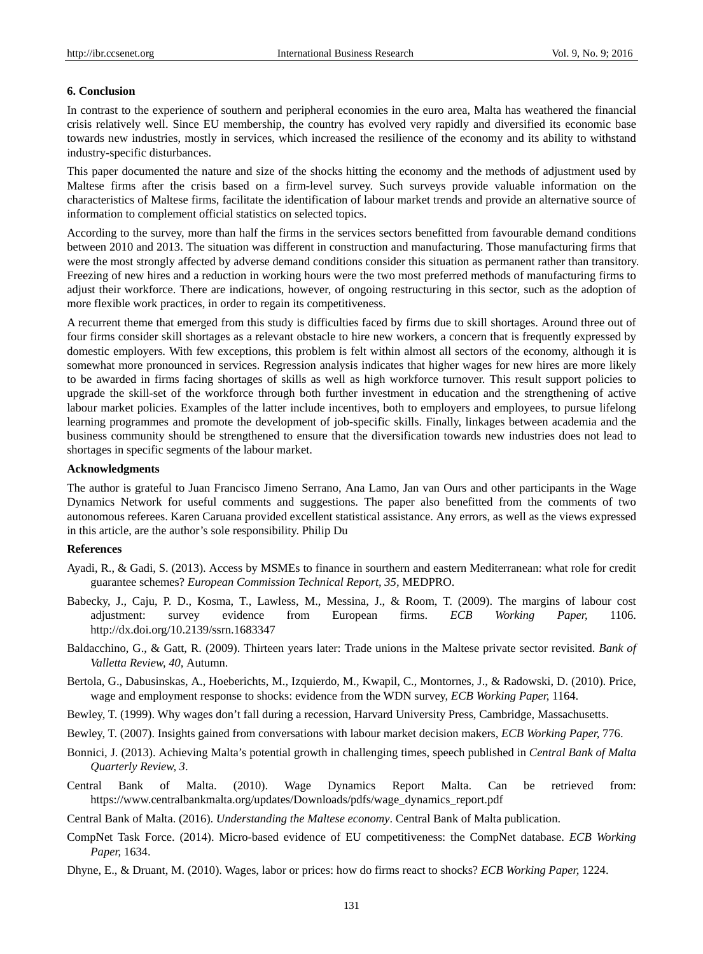#### **6. Conclusion**

In contrast to the experience of southern and peripheral economies in the euro area, Malta has weathered the financial crisis relatively well. Since EU membership, the country has evolved very rapidly and diversified its economic base towards new industries, mostly in services, which increased the resilience of the economy and its ability to withstand industry-specific disturbances.

This paper documented the nature and size of the shocks hitting the economy and the methods of adjustment used by Maltese firms after the crisis based on a firm-level survey. Such surveys provide valuable information on the characteristics of Maltese firms, facilitate the identification of labour market trends and provide an alternative source of information to complement official statistics on selected topics.

According to the survey, more than half the firms in the services sectors benefitted from favourable demand conditions between 2010 and 2013. The situation was different in construction and manufacturing. Those manufacturing firms that were the most strongly affected by adverse demand conditions consider this situation as permanent rather than transitory. Freezing of new hires and a reduction in working hours were the two most preferred methods of manufacturing firms to adjust their workforce. There are indications, however, of ongoing restructuring in this sector, such as the adoption of more flexible work practices, in order to regain its competitiveness.

A recurrent theme that emerged from this study is difficulties faced by firms due to skill shortages. Around three out of four firms consider skill shortages as a relevant obstacle to hire new workers, a concern that is frequently expressed by domestic employers. With few exceptions, this problem is felt within almost all sectors of the economy, although it is somewhat more pronounced in services. Regression analysis indicates that higher wages for new hires are more likely to be awarded in firms facing shortages of skills as well as high workforce turnover. This result support policies to upgrade the skill-set of the workforce through both further investment in education and the strengthening of active labour market policies. Examples of the latter include incentives, both to employers and employees, to pursue lifelong learning programmes and promote the development of job-specific skills. Finally, linkages between academia and the business community should be strengthened to ensure that the diversification towards new industries does not lead to shortages in specific segments of the labour market.

# **Acknowledgments**

The author is grateful to Juan Francisco Jimeno Serrano, Ana Lamo, Jan van Ours and other participants in the Wage Dynamics Network for useful comments and suggestions. The paper also benefitted from the comments of two autonomous referees. Karen Caruana provided excellent statistical assistance. Any errors, as well as the views expressed in this article, are the author's sole responsibility. Philip Du

#### **References**

- Ayadi, R., & Gadi, S. (2013). Access by MSMEs to finance in sourthern and eastern Mediterranean: what role for credit guarantee schemes? *European Commission Technical Report, 35,* MEDPRO.
- Babecky, J., Caju, P. D., Kosma, T., Lawless, M., Messina, J., & Room, T. (2009). The margins of labour cost adjustment: survey evidence from European firms. *ECB Working Paper,* 1106. http://dx.doi.org/10.2139/ssrn.1683347
- Baldacchino, G., & Gatt, R. (2009). Thirteen years later: Trade unions in the Maltese private sector revisited. *Bank of Valletta Review, 40,* Autumn.
- Bertola, G., Dabusinskas, A., Hoeberichts, M., Izquierdo, M., Kwapil, C., Montornes, J., & Radowski, D. (2010). Price, wage and employment response to shocks: evidence from the WDN survey, *ECB Working Paper,* 1164.
- Bewley, T. (1999). Why wages don't fall during a recession, Harvard University Press, Cambridge, Massachusetts.
- Bewley, T. (2007). Insights gained from conversations with labour market decision makers, *ECB Working Paper,* 776.
- Bonnici, J. (2013). Achieving Malta's potential growth in challenging times, speech published in *Central Bank of Malta Quarterly Review, 3*.
- Central Bank of Malta. (2010). Wage Dynamics Report Malta. Can be retrieved from: https://www.centralbankmalta.org/updates/Downloads/pdfs/wage\_dynamics\_report.pdf

Central Bank of Malta. (2016). *Understanding the Maltese economy*. Central Bank of Malta publication.

- CompNet Task Force. (2014). Micro-based evidence of EU competitiveness: the CompNet database. *ECB Working Paper,* 1634.
- Dhyne, E., & Druant, M. (2010). Wages, labor or prices: how do firms react to shocks? *ECB Working Paper,* 1224.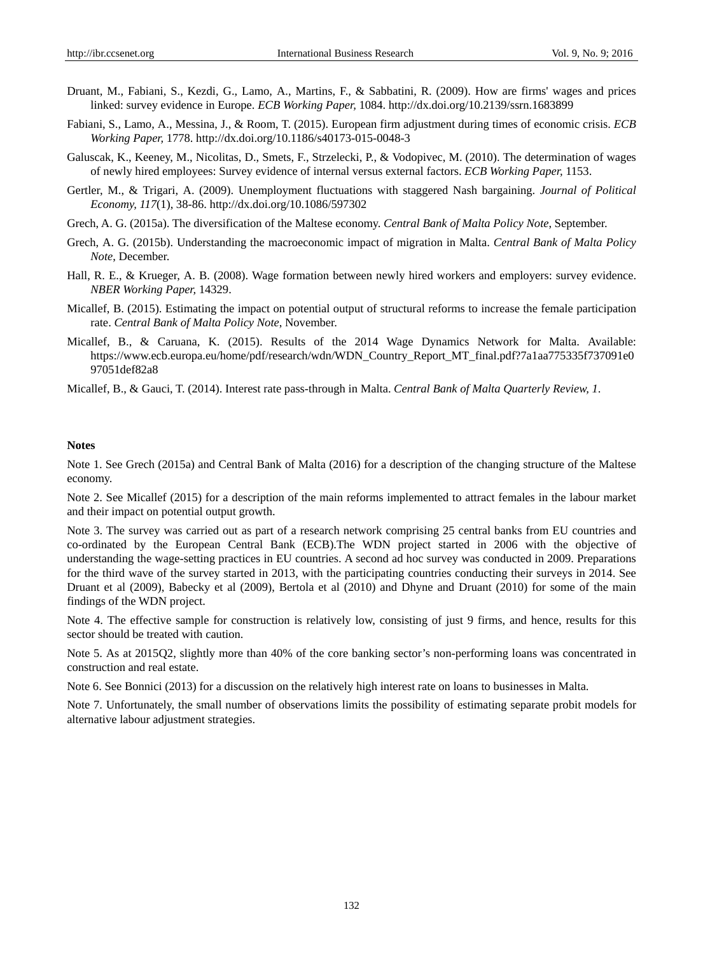- Druant, M., Fabiani, S., Kezdi, G., Lamo, A., Martins, F., & Sabbatini, R. (2009). How are firms' wages and prices linked: survey evidence in Europe. *ECB Working Paper,* 1084. http://dx.doi.org/10.2139/ssrn.1683899
- Fabiani, S., Lamo, A., Messina, J., & Room, T. (2015). European firm adjustment during times of economic crisis. *ECB Working Paper,* 1778. http://dx.doi.org/10.1186/s40173-015-0048-3
- Galuscak, K., Keeney, M., Nicolitas, D., Smets, F., Strzelecki, P., & Vodopivec, M. (2010). The determination of wages of newly hired employees: Survey evidence of internal versus external factors. *ECB Working Paper,* 1153.
- Gertler, M., & Trigari, A. (2009). Unemployment fluctuations with staggered Nash bargaining. *Journal of Political Economy, 117*(1), 38-86. http://dx.doi.org/10.1086/597302
- Grech, A. G. (2015a). The diversification of the Maltese economy. *Central Bank of Malta Policy Note*, September.
- Grech, A. G. (2015b). Understanding the macroeconomic impact of migration in Malta. *Central Bank of Malta Policy Note*, December.
- Hall, R. E., & Krueger, A. B. (2008). Wage formation between newly hired workers and employers: survey evidence. *NBER Working Paper,* 14329.
- Micallef, B. (2015). Estimating the impact on potential output of structural reforms to increase the female participation rate. *Central Bank of Malta Policy Note*, November.
- Micallef, B., & Caruana, K. (2015). Results of the 2014 Wage Dynamics Network for Malta. Available: https://www.ecb.europa.eu/home/pdf/research/wdn/WDN\_Country\_Report\_MT\_final.pdf?7a1aa775335f737091e0 97051def82a8
- Micallef, B., & Gauci, T. (2014). Interest rate pass-through in Malta. *Central Bank of Malta Quarterly Review, 1*.

## **Notes**

Note 1. See Grech (2015a) and Central Bank of Malta (2016) for a description of the changing structure of the Maltese economy.

Note 2. See Micallef (2015) for a description of the main reforms implemented to attract females in the labour market and their impact on potential output growth.

Note 3. The survey was carried out as part of a research network comprising 25 central banks from EU countries and co-ordinated by the European Central Bank (ECB).The WDN project started in 2006 with the objective of understanding the wage-setting practices in EU countries. A second ad hoc survey was conducted in 2009. Preparations for the third wave of the survey started in 2013, with the participating countries conducting their surveys in 2014. See Druant et al (2009), Babecky et al (2009), Bertola et al (2010) and Dhyne and Druant (2010) for some of the main findings of the WDN project.

Note 4. The effective sample for construction is relatively low, consisting of just 9 firms, and hence, results for this sector should be treated with caution.

Note 5. As at 2015Q2, slightly more than 40% of the core banking sector's non-performing loans was concentrated in construction and real estate.

Note 6. See Bonnici (2013) for a discussion on the relatively high interest rate on loans to businesses in Malta.

Note 7. Unfortunately, the small number of observations limits the possibility of estimating separate probit models for alternative labour adjustment strategies.